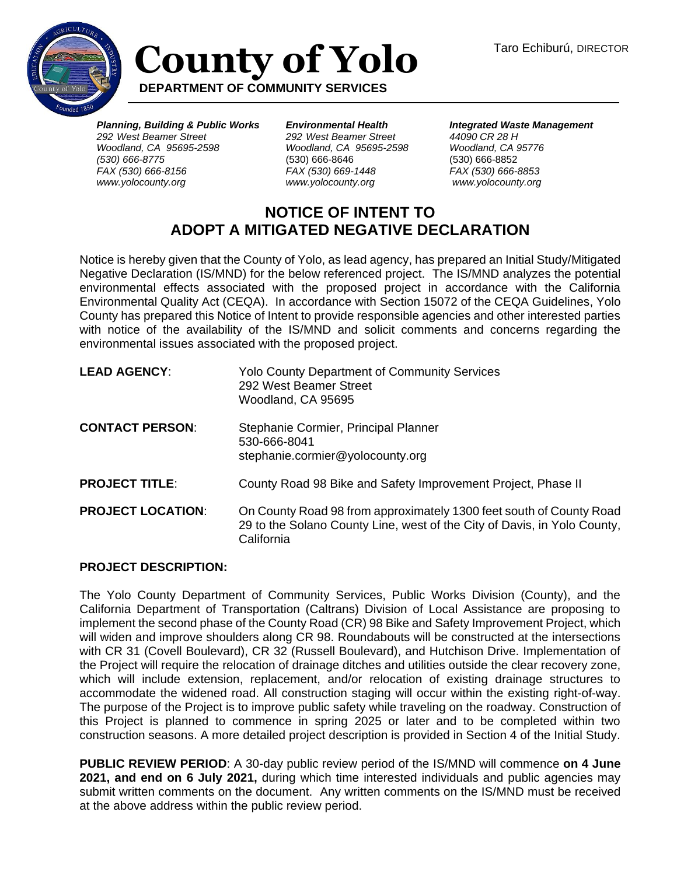

## **County of Yolo DEPARTMENT OF COMMUNITY SERVICES**

*Planning, Building & Public Works 292 West Beamer Street Woodland, CA 95695-2598 (530) 666-8775 FAX (530) 666-8156 www.yolocounty.org*

*Environmental Health 292 West Beamer Street Woodland, CA 95695-2598*  (530) 666-8646 *FAX (530) 669-1448 www.yolocounty.org*

*Integrated Waste Management 44090 CR 28 H Woodland, CA 95776* (530) 666-8852 *FAX (530) 666-8853 www.yolocounty.org*

## **NOTICE OF INTENT TO ADOPT A MITIGATED NEGATIVE DECLARATION**

Notice is hereby given that the County of Yolo, as lead agency, has prepared an Initial Study/Mitigated Negative Declaration (IS/MND) for the below referenced project. The IS/MND analyzes the potential environmental effects associated with the proposed project in accordance with the California Environmental Quality Act (CEQA). In accordance with Section 15072 of the CEQA Guidelines, Yolo County has prepared this Notice of Intent to provide responsible agencies and other interested parties with notice of the availability of the IS/MND and solicit comments and concerns regarding the environmental issues associated with the proposed project.

| <b>LEAD AGENCY:</b>      | <b>Yolo County Department of Community Services</b><br>292 West Beamer Street<br>Woodland, CA 95695                                                           |
|--------------------------|---------------------------------------------------------------------------------------------------------------------------------------------------------------|
| <b>CONTACT PERSON:</b>   | Stephanie Cormier, Principal Planner<br>530-666-8041<br>stephanie.cormier@yolocounty.org                                                                      |
| <b>PROJECT TITLE:</b>    | County Road 98 Bike and Safety Improvement Project, Phase II                                                                                                  |
| <b>PROJECT LOCATION:</b> | On County Road 98 from approximately 1300 feet south of County Road<br>29 to the Solano County Line, west of the City of Davis, in Yolo County,<br>California |

## **PROJECT DESCRIPTION:**

The Yolo County Department of Community Services, Public Works Division (County), and the California Department of Transportation (Caltrans) Division of Local Assistance are proposing to implement the second phase of the County Road (CR) 98 Bike and Safety Improvement Project, which will widen and improve shoulders along CR 98. Roundabouts will be constructed at the intersections with CR 31 (Covell Boulevard), CR 32 (Russell Boulevard), and Hutchison Drive. Implementation of the Project will require the relocation of drainage ditches and utilities outside the clear recovery zone, which will include extension, replacement, and/or relocation of existing drainage structures to accommodate the widened road. All construction staging will occur within the existing right-of-way. The purpose of the Project is to improve public safety while traveling on the roadway. Construction of this Project is planned to commence in spring 2025 or later and to be completed within two construction seasons. A more detailed project description is provided in Section 4 of the Initial Study.

**PUBLIC REVIEW PERIOD**: A 30-day public review period of the IS/MND will commence **on 4 June 2021, and end on 6 July 2021,** during which time interested individuals and public agencies may submit written comments on the document. Any written comments on the IS/MND must be received at the above address within the public review period.